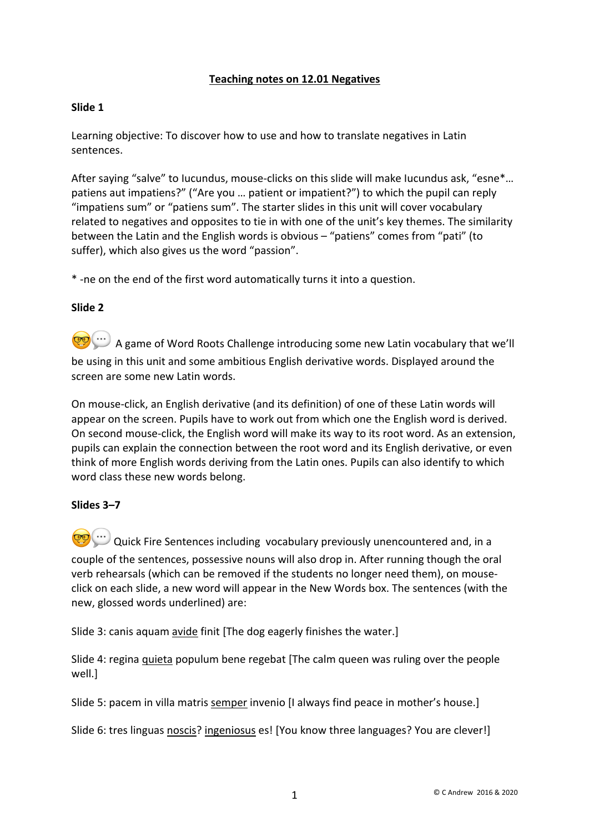# **Teaching notes on 12.01 Negatives**

# **Slide 1**

Learning objective: To discover how to use and how to translate negatives in Latin sentences.

After saying "salve" to Iucundus, mouse-clicks on this slide will make Iucundus ask, "esne\*... patiens aut impatiens?" ("Are you … patient or impatient?") to which the pupil can reply "impatiens sum" or "patiens sum". The starter slides in this unit will cover vocabulary related to negatives and opposites to tie in with one of the unit's key themes. The similarity between the Latin and the English words is obvious – "patiens" comes from "pati" (to suffer), which also gives us the word "passion".

\* -ne on the end of the first word automatically turns it into a question.

## **Slide 2**

A game of Word Roots Challenge introducing some new Latin vocabulary that we'll be using in this unit and some ambitious English derivative words. Displayed around the screen are some new Latin words.

On mouse-click, an English derivative (and its definition) of one of these Latin words will appear on the screen. Pupils have to work out from which one the English word is derived. On second mouse-click, the English word will make its way to its root word. As an extension, pupils can explain the connection between the root word and its English derivative, or even think of more English words deriving from the Latin ones. Pupils can also identify to which word class these new words belong.

## **Slides 3–7**

 $\bigcirc$  Quick Fire Sentences including vocabulary previously unencountered and, in a couple of the sentences, possessive nouns will also drop in. After running though the oral verb rehearsals (which can be removed if the students no longer need them), on mouseclick on each slide, a new word will appear in the New Words box. The sentences (with the new, glossed words underlined) are:

Slide 3: canis aquam avide finit [The dog eagerly finishes the water.]

Slide 4: regina quieta populum bene regebat [The calm queen was ruling over the people well.]

Slide 5: pacem in villa matris semper invenio [I always find peace in mother's house.]

Slide 6: tres linguas noscis? ingeniosus es! [You know three languages? You are clever!]